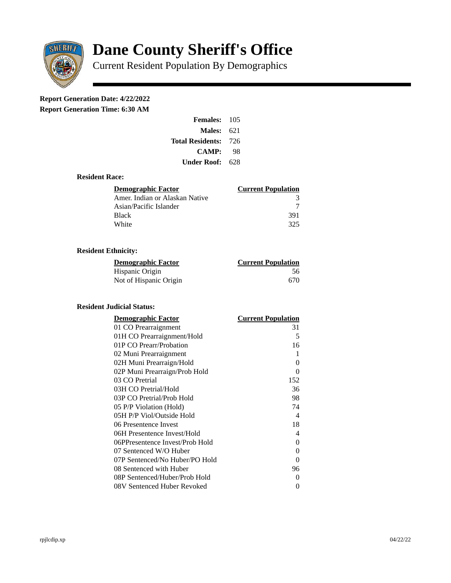

# **Dane County Sheriff's Office**

Current Resident Population By Demographics

# **Report Generation Date: 4/22/2022**

**Report Generation Time: 6:30 AM** 

| <b>Females: 105</b>         |     |
|-----------------------------|-----|
| Males:                      | 621 |
| <b>Total Residents: 726</b> |     |
| <b>CAMP:</b>                | 98  |
| Under Roof: 628             |     |

### **Resident Race:**

| <b>Demographic Factor</b>      | <b>Current Population</b> |
|--------------------------------|---------------------------|
| Amer. Indian or Alaskan Native | R                         |
| Asian/Pacific Islander         |                           |
| Black                          | 391                       |
| White                          | 325                       |

# **Resident Ethnicity:**

| <u>Demographic Factor</u> | <b>Current Population</b> |
|---------------------------|---------------------------|
| Hispanic Origin           | 56                        |
| Not of Hispanic Origin    | 670                       |

#### **Resident Judicial Status:**

| <b>Demographic Factor</b>       | <b>Current Population</b> |
|---------------------------------|---------------------------|
| 01 CO Prearraignment            | 31                        |
| 01H CO Prearraignment/Hold      | 5                         |
| 01P CO Prearr/Probation         | 16                        |
| 02 Muni Prearraignment          | 1                         |
| 02H Muni Prearraign/Hold        | 0                         |
| 02P Muni Prearraign/Prob Hold   | 0                         |
| 03 CO Pretrial                  | 152                       |
| 03H CO Pretrial/Hold            | 36                        |
| 03P CO Pretrial/Prob Hold       | 98                        |
| 05 P/P Violation (Hold)         | 74                        |
| 05H P/P Viol/Outside Hold       | $\overline{\mathcal{A}}$  |
| 06 Presentence Invest           | 18                        |
| 06H Presentence Invest/Hold     | 4                         |
| 06PPresentence Invest/Prob Hold | 0                         |
| 07 Sentenced W/O Huber          | 0                         |
| 07P Sentenced/No Huber/PO Hold  | 0                         |
| 08 Sentenced with Huber         | 96                        |
| 08P Sentenced/Huber/Prob Hold   | 0                         |
| 08V Sentenced Huber Revoked     | 0                         |